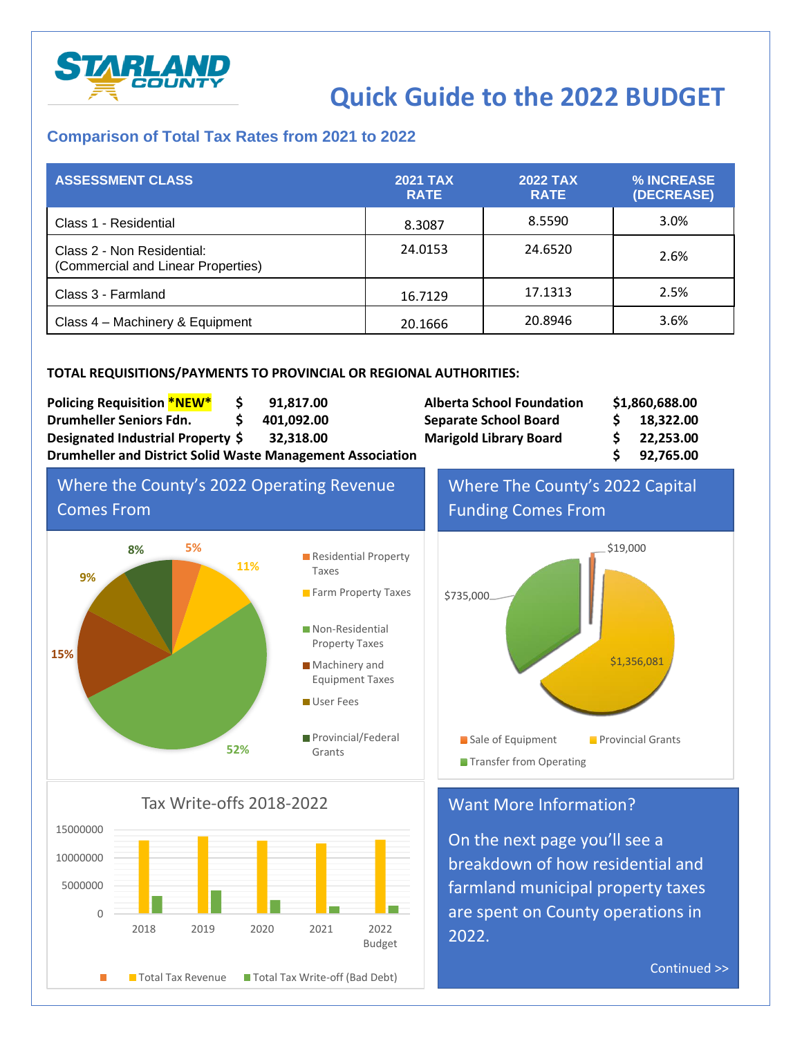

# **Quick Guide to the 2022 BUDGET**

### **Comparison of Total Tax Rates from 2021 to 2022**

| <b>ASSESSMENT CLASS</b>                                          | 2021 TAX<br><b>RATE</b> | <b>2022 TAX</b><br><b>RATE</b> | % INCREASE<br>(DECREASE) |
|------------------------------------------------------------------|-------------------------|--------------------------------|--------------------------|
| Class 1 - Residential                                            | 8.3087                  | 8.5590                         | 3.0%                     |
| Class 2 - Non Residential:<br>(Commercial and Linear Properties) | 24.0153                 | 24.6520                        | 2.6%                     |
| Class 3 - Farmland                                               | 16.7129                 | 17.1313                        | 2.5%                     |
| Class 4 - Machinery & Equipment                                  | 20.1666                 | 20.8946                        | 3.6%                     |

#### **TOTAL REQUISITIONS/PAYMENTS TO PROVINCIAL OR REGIONAL AUTHORITIES:**

| <b>Policing Requisition *NEW*</b>                                 |  | 91.817.00  | <b>Alberta School Foundation</b> | \$1,860,688.00 |           |
|-------------------------------------------------------------------|--|------------|----------------------------------|----------------|-----------|
| Drumheller Seniors Fdn.                                           |  | 401,092.00 | <b>Separate School Board</b>     |                | 18,322.00 |
| Designated Industrial Property \$                                 |  | 32.318.00  | <b>Marigold Library Board</b>    |                | 22,253.00 |
| <b>Drumheller and District Solid Waste Management Association</b> |  |            |                                  | 92,765.00      |           |





Tax Write-offs 2018-2022



Where The County's 2022 Capital Funding Comes From



## Want More Information?

On the next page you'll see a breakdown of how residential and farmland municipal property taxes are spent on County operations in 2022.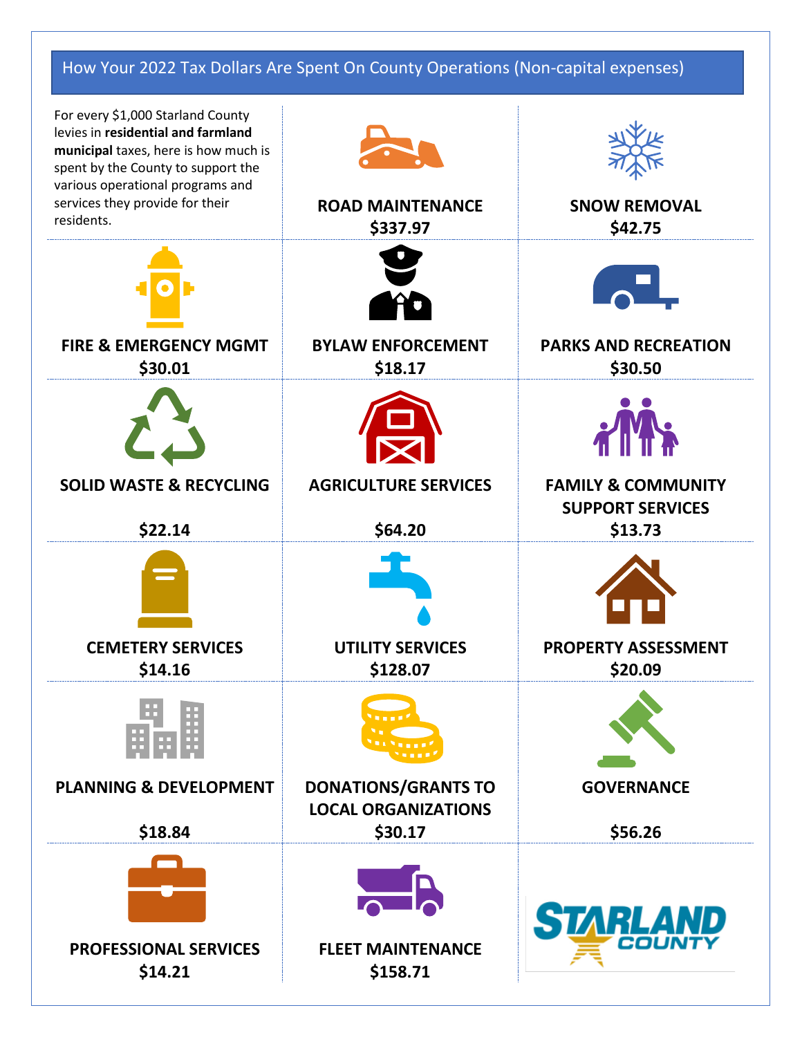## How Your 2022 Tax Dollars Are Spent On County Operations (Non-capital expenses)